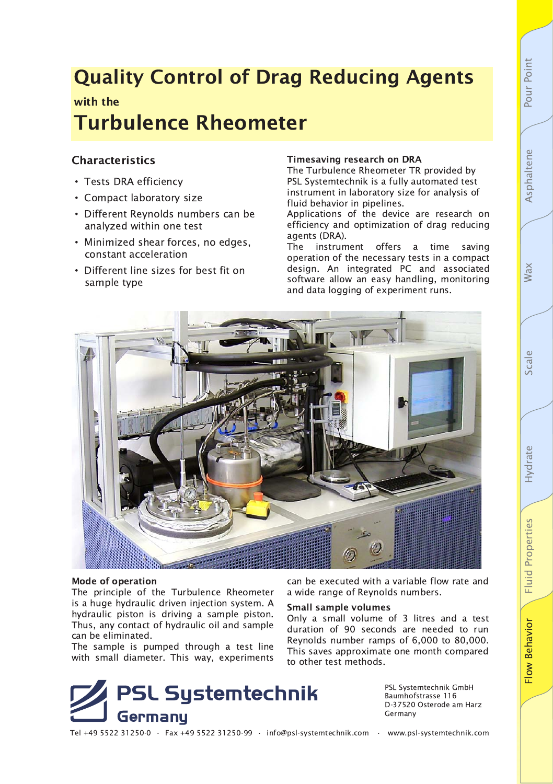# Pour Point

# **Quality Control of Drag Reducing Agents**

### with the **Turbulence Rheometer**

#### **Characteristics**

- · Tests DRA efficiency
- Compact laboratory size
- Different Reynolds numbers can be analyzed within one test
- Minimized shear forces, no edges, constant acceleration
- Different line sizes for best fit on sample type

#### **Timesaving research on DRA**

The Turbulence Rheometer TR provided by PSL Systemtechnik is a fully automated test instrument in laboratory size for analysis of fluid behavior in pipelines.

Applications of the device are research on efficiency and optimization of drag reducing agents (DRA).

**The** instrument offers a time saving operation of the necessary tests in a compact design. An integrated PC and associated software allow an easy handling, monitoring and data logging of experiment runs.



#### **Mode of operation**

The principle of the Turbulence Rheometer is a huge hydraulic driven injection system. A hydraulic piston is driving a sample piston. Thus, any contact of hydraulic oil and sample can be eliminated.

The sample is pumped through a test line with small diameter. This way, experiments

**PSL Systemtechnik** Germany

can be executed with a variable flow rate and a wide range of Reynolds numbers.

#### **Small sample volumes**

Only a small volume of 3 litres and a test duration of 90 seconds are needed to run Reynolds number ramps of 6,000 to 80,000. This saves approximate one month compared to other test methods.

> PSL Systemtechnik GmbH Baumhofstrasse 116 D-37520 Osterode am Harz Germany

Tel +49 5522 31250-0 · Fax +49 5522 31250-99 · info@psl-systemtechnik.com · www.psl-systemtechnik.com